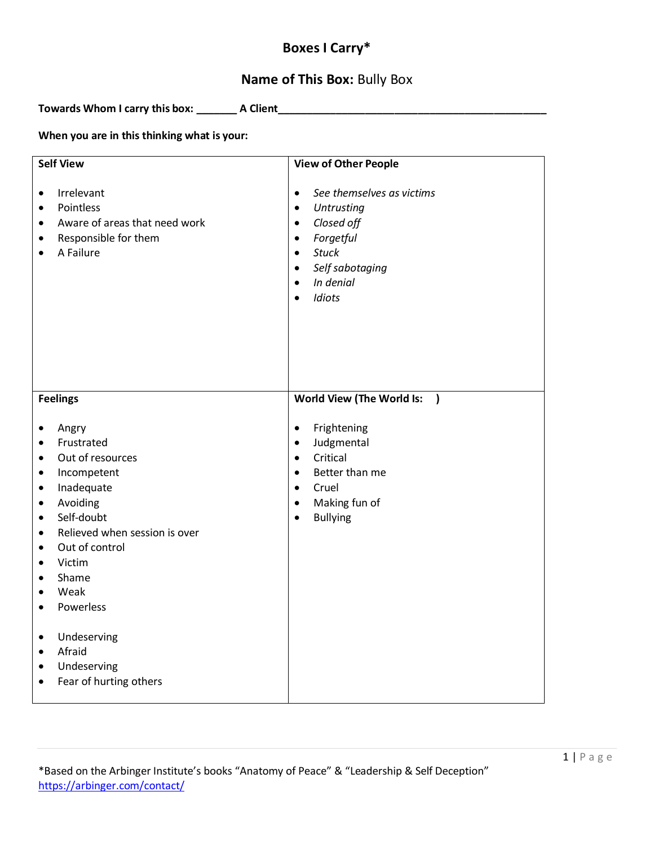# **Boxes I Carry\***

# **Name of This Box:** Bully Box

**Towards Whom I carry this box: \_\_\_\_\_\_\_ A Client\_\_\_\_\_\_\_\_\_\_\_\_\_\_\_\_\_\_\_\_\_\_\_\_\_\_\_\_\_\_\_\_\_\_\_\_\_\_\_\_\_\_\_\_\_\_**

#### **When you are in this thinking what is your:**

| <b>Self View</b>                                                                                                                                                                                                                                                                                                                                                      | <b>View of Other People</b>                                                                                                                                                                                                                              |
|-----------------------------------------------------------------------------------------------------------------------------------------------------------------------------------------------------------------------------------------------------------------------------------------------------------------------------------------------------------------------|----------------------------------------------------------------------------------------------------------------------------------------------------------------------------------------------------------------------------------------------------------|
| Irrelevant<br>$\bullet$<br>Pointless<br>$\bullet$<br>Aware of areas that need work<br>$\bullet$<br>Responsible for them<br>$\bullet$<br>A Failure<br>$\bullet$                                                                                                                                                                                                        | See themselves as victims<br>$\bullet$<br><b>Untrusting</b><br>$\bullet$<br>Closed off<br>$\bullet$<br>Forgetful<br>$\bullet$<br><b>Stuck</b><br>$\bullet$<br>Self sabotaging<br>$\bullet$<br>In denial<br>$\bullet$<br>Idiots<br>$\bullet$              |
| <b>Feelings</b><br>Angry<br>$\bullet$<br>Frustrated<br>$\bullet$<br>Out of resources<br>$\bullet$<br>Incompetent<br>$\bullet$<br>Inadequate<br>$\bullet$<br>Avoiding<br>$\bullet$<br>Self-doubt<br>$\bullet$<br>Relieved when session is over<br>$\bullet$<br>Out of control<br>$\bullet$<br>Victim<br>$\bullet$<br>Shame<br>$\bullet$<br>Weak<br>٠<br>Powerless<br>٠ | World View (The World Is:<br>$\overline{\phantom{a}}$<br>Frightening<br>$\bullet$<br>Judgmental<br>$\bullet$<br>Critical<br>$\bullet$<br>Better than me<br>$\bullet$<br>Cruel<br>$\bullet$<br>Making fun of<br>$\bullet$<br><b>Bullying</b><br>$\bullet$ |
| Undeserving<br>$\bullet$<br>Afraid<br>$\bullet$<br>Undeserving<br>$\bullet$<br>Fear of hurting others<br>$\bullet$                                                                                                                                                                                                                                                    |                                                                                                                                                                                                                                                          |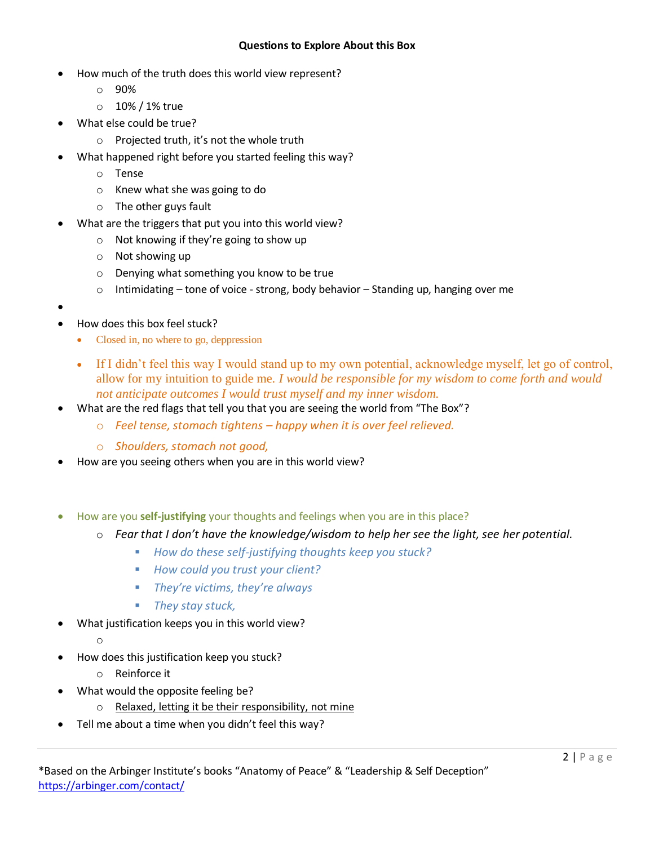#### **Questions to Explore About this Box**

- How much of the truth does this world view represent?
	- o 90%
	- o 10% / 1% true
- What else could be true?
	- o Projected truth, it's not the whole truth
- What happened right before you started feeling this way?
	- o Tense
	- o Knew what she was going to do
	- o The other guys fault
- What are the triggers that put you into this world view?
	- o Not knowing if they're going to show up
	- o Not showing up
	- o Denying what something you know to be true
	- $\circ$  Intimidating tone of voice strong, body behavior Standing up, hanging over me
- $\bullet$
- How does this box feel stuck?
	- Closed in, no where to go, deppression
	- If I didn't feel this way I would stand up to my own potential, acknowledge myself, let go of control, allow for my intuition to guide me. *I would be responsible for my wisdom to come forth and would not anticipate outcomes I would trust myself and my inner wisdom.*
- What are the red flags that tell you that you are seeing the world from "The Box"?
	- o *Feel tense, stomach tightens – happy when it is over feel relieved.*
	- o *Shoulders, stomach not good,*
- How are you seeing others when you are in this world view?
- How are you **self-justifying** your thoughts and feelings when you are in this place?
	- o *Fear that I don't have the knowledge/wisdom to help her see the light, see her potential.*
		- *How do these self-justifying thoughts keep you stuck?*
		- *How could you trust your client?*
		- *They're victims, they're always*
		- *They stay stuck,*
- What justification keeps you in this world view?
	- o
- How does this justification keep you stuck?
	- o Reinforce it
- What would the opposite feeling be?
	- o Relaxed, letting it be their responsibility, not mine
- Tell me about a time when you didn't feel this way?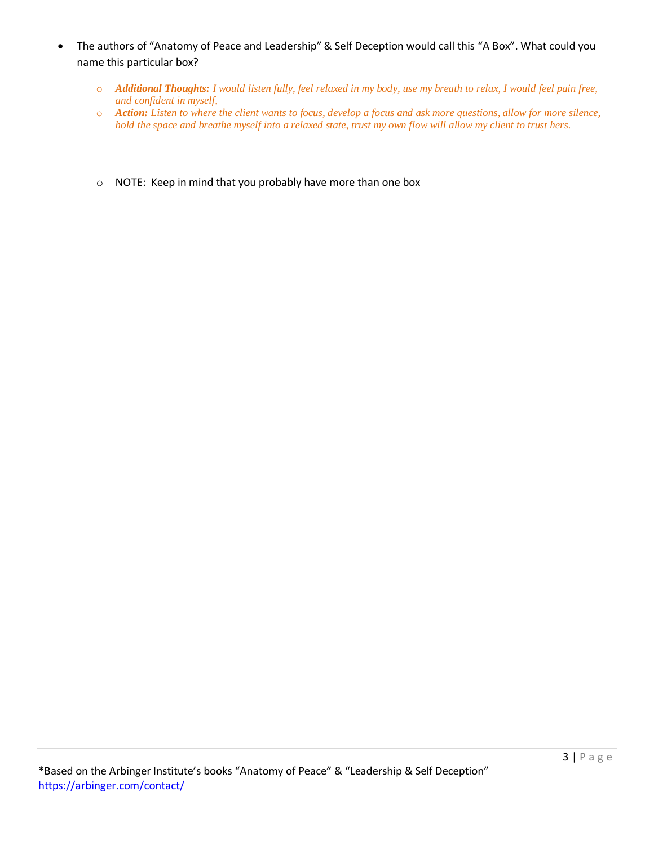- The authors of "Anatomy of Peace and Leadership" & Self Deception would call this "A Box". What could you name this particular box?
	- o *Additional Thoughts: I would listen fully, feel relaxed in my body, use my breath to relax, I would feel pain free, and confident in myself,*
	- o *Action: Listen to where the client wants to focus, develop a focus and ask more questions, allow for more silence, hold the space and breathe myself into a relaxed state, trust my own flow will allow my client to trust hers.*
	- o NOTE: Keep in mind that you probably have more than one box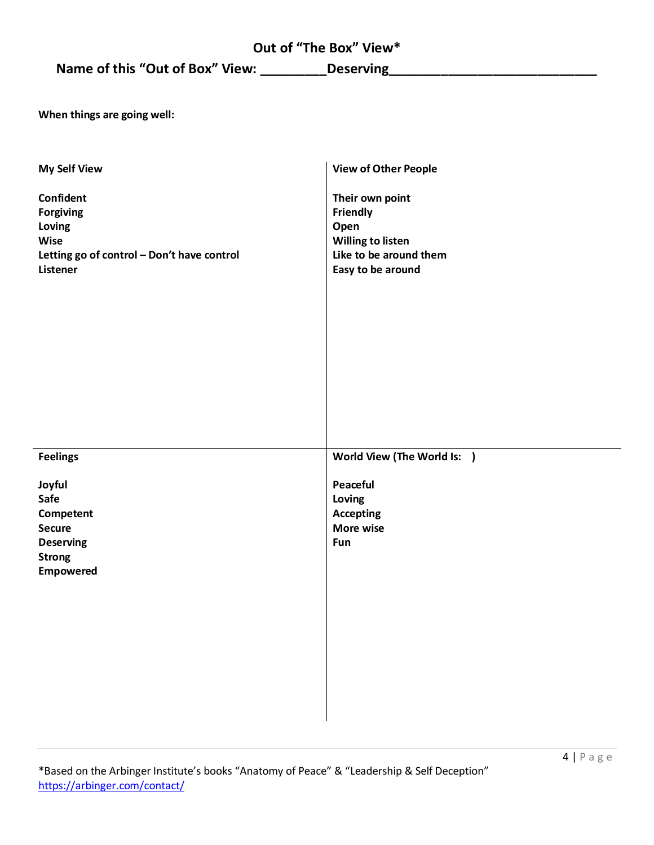# **Out of "The Box" View\***

**Name of this "Out of Box" View: \_\_\_\_\_\_\_\_\_Deserving\_\_\_\_\_\_\_\_\_\_\_\_\_\_\_\_\_\_\_\_\_\_\_\_\_\_\_\_**

**When things are going well:**

| <b>My Self View</b>                                                                                       | <b>View of Other People</b>                                                                             |
|-----------------------------------------------------------------------------------------------------------|---------------------------------------------------------------------------------------------------------|
| Confident<br>Forgiving<br>Loving<br>Wise<br>Letting go of control - Don't have control<br><b>Listener</b> | Their own point<br>Friendly<br>Open<br>Willing to listen<br>Like to be around them<br>Easy to be around |
| <b>Feelings</b>                                                                                           | World View (The World Is: )                                                                             |
| Joyful<br>Safe<br>Competent<br><b>Secure</b><br><b>Deserving</b><br><b>Strong</b><br><b>Empowered</b>     | Peaceful<br>Loving<br><b>Accepting</b><br>More wise<br>Fun                                              |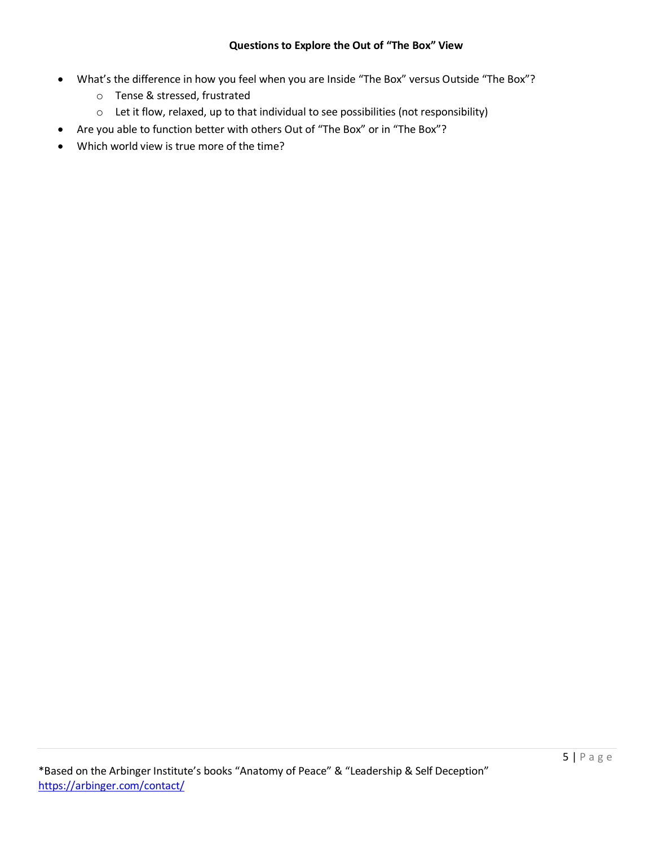- What's the difference in how you feel when you are Inside "The Box" versus Outside "The Box"?
	- o Tense & stressed, frustrated
	- o Let it flow, relaxed, up to that individual to see possibilities (not responsibility)
- Are you able to function better with others Out of "The Box" or in "The Box"?
- Which world view is true more of the time?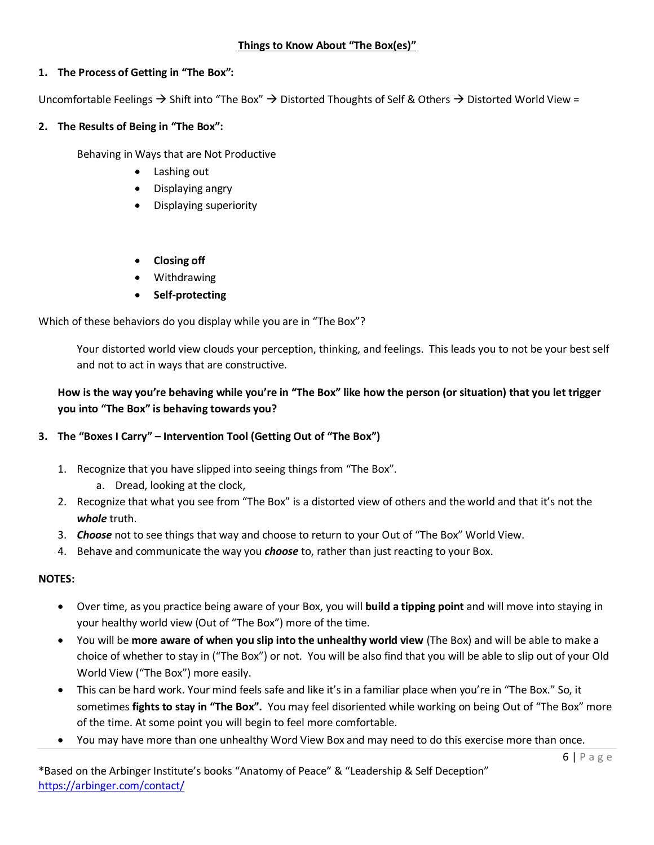### **1. The Process of Getting in "The Box":**

Uncomfortable Feelings  $\rightarrow$  Shift into "The Box"  $\rightarrow$  Distorted Thoughts of Self & Others  $\rightarrow$  Distorted World View =

### **2. The Results of Being in "The Box":**

Behaving in Ways that are Not Productive

- Lashing out
- Displaying angry
- Displaying superiority
- **Closing off**
- Withdrawing
- **•** Self-protecting

Which of these behaviors do you display while you are in "The Box"?

Your distorted world view clouds your perception, thinking, and feelings. This leads you to not be your best self and not to act in ways that are constructive.

# **How is the way you're behaving while you're in "The Box" like how the person (or situation) that you let trigger you into "The Box" is behaving towards you?**

## **3. The "Boxes I Carry" – Intervention Tool (Getting Out of "The Box")**

- 1. Recognize that you have slipped into seeing things from "The Box".
	- a. Dread, looking at the clock,
- 2. Recognize that what you see from "The Box" is a distorted view of others and the world and that it's not the *whole* truth.
- 3. *Choose* not to see things that way and choose to return to your Out of "The Box" World View.
- 4. Behave and communicate the way you *choose* to, rather than just reacting to your Box.

### **NOTES:**

- Over time, as you practice being aware of your Box, you will **build a tipping point** and will move into staying in your healthy world view (Out of "The Box") more of the time.
- You will be **more aware of when you slip into the unhealthy world view** (The Box) and will be able to make a choice of whether to stay in ("The Box") or not. You will be also find that you will be able to slip out of your Old World View ("The Box") more easily.
- This can be hard work. Your mind feels safe and like it's in a familiar place when you're in "The Box." So, it sometimes **fights to stay in "The Box".** You may feel disoriented while working on being Out of "The Box" more of the time. At some point you will begin to feel more comfortable.
- You may have more than one unhealthy Word View Box and may need to do this exercise more than once.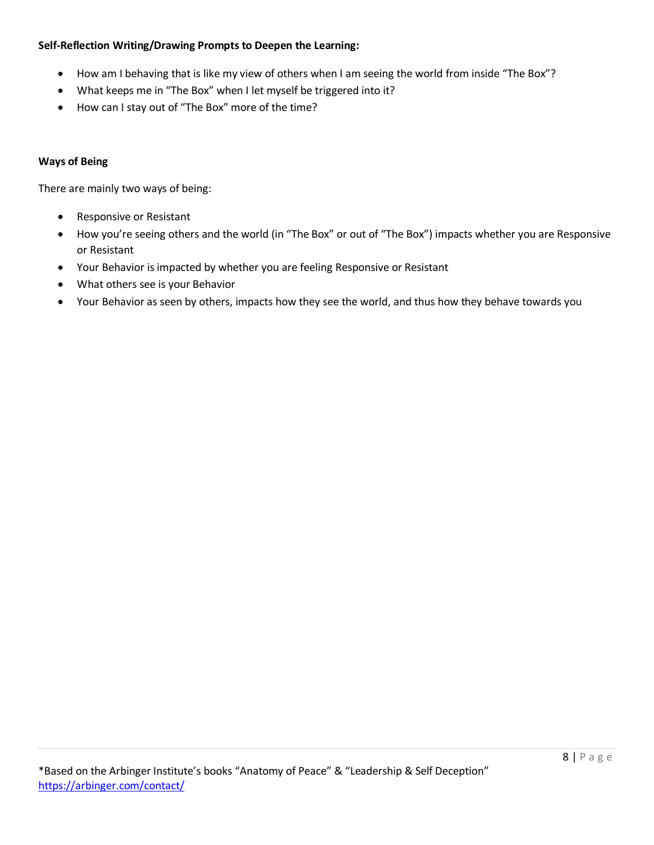### **Self-Reflection Writing/Drawing Prompts to Deepen the Learning:**

- How am I behaving that is like my view of others when I am seeing the world from inside "The Box"?
- What keeps me in "The Box" when I let myself be triggered into it?
- How can I stay out of "The Box" more of the time?

### **Ways of Being**

There are mainly two ways of being:

- Responsive or Resistant
- How you're seeing others and the world (in "The Box" or out of "The Box") impacts whether you are Responsive or Resistant
- Your Behavior is impacted by whether you are feeling Responsive or Resistant
- What others see is your Behavior
- Your Behavior as seen by others, impacts how they see the world, and thus how they behave towards you